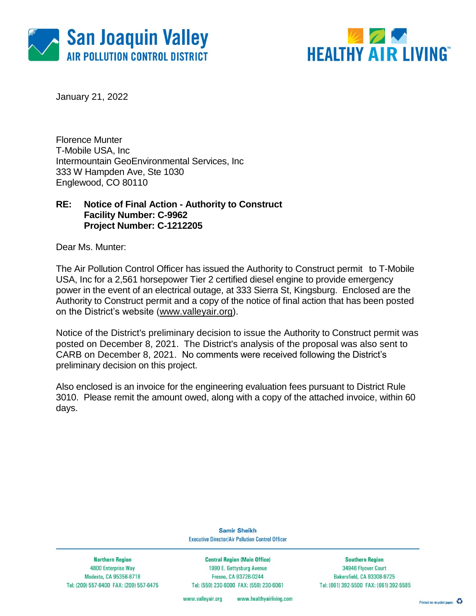



January 21, 2022

Florence Munter T-Mobile USA, Inc Intermountain GeoEnvironmental Services, Inc 333 W Hampden Ave, Ste 1030 Englewood, CO 80110

### **RE: Notice of Final Action - Authority to Construct Facility Number: C-9962 Project Number: C-1212205**

Dear Ms. Munter:

The Air Pollution Control Officer has issued the Authority to Construct permit to T-Mobile USA, Inc for a 2,561 horsepower Tier 2 certified diesel engine to provide emergency power in the event of an electrical outage, at 333 Sierra St, Kingsburg. Enclosed are the Authority to Construct permit and a copy of the notice of final action that has been posted on the District's website [\(www.valleyair.org\)](http://www.valleyair.org/).

Notice of the District's preliminary decision to issue the Authority to Construct permit was posted on December 8, 2021. The District's analysis of the proposal was also sent to CARB on December 8, 2021. No comments were received following the District's preliminary decision on this project.

Also enclosed is an invoice for the engineering evaluation fees pursuant to District Rule 3010. Please remit the amount owed, along with a copy of the attached invoice, within 60 days.

> **Samir Sheikh Executive Director/Air Pollution Control Officer**

**Northern Region** 4800 Enterprise Way Modesto, CA 95356-8718 Tel: (209) 557-6400 FAX: (209) 557-6475

**Central Region (Main Office)** 1990 E. Gettysburg Avenue Fresno, CA 93726-0244 Tel: (559) 230-6000 FAX: (559) 230-6061

**Southern Region** 34946 Flyover Court Bakersfield, CA 93308-9725 Tel: (661) 392-5500 FAX: (661) 392-5585

www.valleyair.org www.healthyairliving.com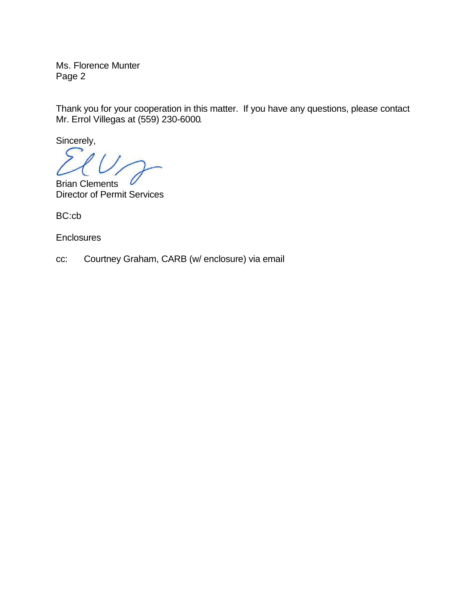Ms. Florence Munter Page 2

Thank you for your cooperation in this matter. If you have any questions, please contact Mr. Errol Villegas at (559) 230-6000.

Sincerely,

Brian Clements Director of Permit Services

BC:cb

**Enclosures** 

cc: Courtney Graham, CARB (w/ enclosure) via email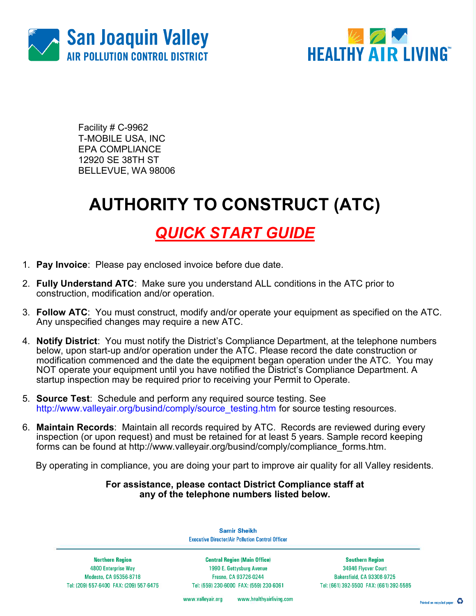



Facility # C-9962 T-MOBILE USA, INC EPA COMPLIANCE 12920 SE 38TH ST BELLEVUE, WA 98006

# AUTHORITY TO CONSTRUCT (ATC)

## QUICK START GUIDE

- 1. Pay Invoice: Please pay enclosed invoice before due date.
- 2. Fully Understand ATC: Make sure you understand ALL conditions in the ATC prior to construction, modification and/or operation.
- 3. Follow ATC: You must construct, modify and/or operate your equipment as specified on the ATC. Any unspecified changes may require a new ATC.
- 4. **Notify District**: You must notify the District's Compliance Department, at the telephone numbers below, upon start-up and/or operation under the ATC. Please record the date construction or modification commenced and the date the equipment began operation under the ATC. You may NOT operate your equipment until you have notified the District's Compliance Department. A startup inspection may be required prior to receiving your Permit to Operate.
- 5. Source Test: Schedule and perform any required source testing. See http://www.valleyair.org/busind/comply/source\_testing.htm for source testing resources.
- 6. Maintain Records: Maintain all records required by ATC. Records are reviewed during every inspection (or upon request) and must be retained for at least 5 years. Sample record keeping forms can be found at http://www.valleyair.org/busind/comply/compliance\_forms.htm.

By operating in compliance, you are doing your part to improve air quality for all Valley residents.

### For assistance, please contact District Compliance staff at any of the telephone numbers listed below.

**Samir Sheikh Executive Director/Air Pollution Control Officer** 

**Northern Region** 4800 Enterprise Way Modesto, CA 95356-8718 Tel: (209) 557-6400 FAX: (209) 557-6475

**Central Region (Main Office)** 1990 E. Gettysburg Avenue Fresno, CA 93726-0244 Tel: (559) 230-6000 FAX: (559) 230-6061

**Southern Region** 34946 Flyover Court Bakersfield, CA 93308-9725 Tel: (661) 392-5500 FAX: (661) 392-5585

www.valleyair.org www.healthyairliving.com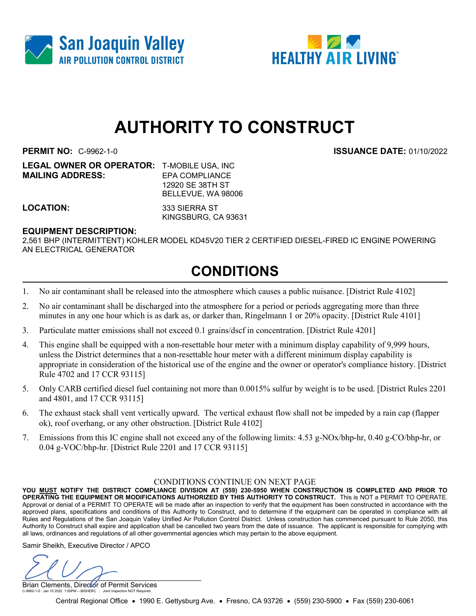



# AUTHORITY TO CONSTRUCT

PERMIT NO: C-9962-1-0 ISSUANCE DATE: 01/10/2022

LEGAL OWNER OR OPERATOR: T-MOBILE USA, INC MAILING ADDRESS: EPA COMPLIANCE 12920 SE 38TH ST

LOCATION: 333 SIERRA ST KINGSBURG, CA 93631

BELLEVUE, WA 98006

#### EQUIPMENT DESCRIPTION:

2,561 BHP (INTERMITTENT) KOHLER MODEL KD45V20 TIER 2 CERTIFIED DIESEL-FIRED IC ENGINE POWERING AN ELECTRICAL GENERATOR

## CONDITIONS

- 1. No air contaminant shall be released into the atmosphere which causes a public nuisance. [District Rule 4102]
- 2. No air contaminant shall be discharged into the atmosphere for a period or periods aggregating more than three minutes in any one hour which is as dark as, or darker than, Ringelmann 1 or 20% opacity. [District Rule 4101]
- 3. Particulate matter emissions shall not exceed 0.1 grains/dscf in concentration. [District Rule 4201]
- 4. This engine shall be equipped with a non-resettable hour meter with a minimum display capability of 9,999 hours, unless the District determines that a non-resettable hour meter with a different minimum display capability is appropriate in consideration of the historical use of the engine and the owner or operator's compliance history. [District Rule 4702 and 17 CCR 93115]
- 5. Only CARB certified diesel fuel containing not more than 0.0015% sulfur by weight is to be used. [District Rules 2201 and 4801, and 17 CCR 93115]
- 6. The exhaust stack shall vent vertically upward. The vertical exhaust flow shall not be impeded by a rain cap (flapper ok), roof overhang, or any other obstruction. [District Rule 4102]
- 7. Emissions from this IC engine shall not exceed any of the following limits: 4.53 g-NOx/bhp-hr, 0.40 g-CO/bhp-hr, or 0.04 g-VOC/bhp-hr. [District Rule 2201 and 17 CCR 93115]

#### CONDITIONS CONTINUE ON NEXT PAGE

YOU MUST NOTIFY THE DISTRICT COMPLIANCE DIVISION AT (559) 230-5950 WHEN CONSTRUCTION IS COMPLETED AND PRIOR TO OPERATING THE EQUIPMENT OR MODIFICATIONS AUTHORIZED BY THIS AUTHORITY TO CONSTRUCT. This is NOT a PERMIT TO OPERATE. Approval or denial of a PERMIT TO OPERATE will be made after an inspection to verify that the equipment has been constructed in accordance with the approved plans, specifications and conditions of this Authority to Construct, and to determine if the equipment can be operated in compliance with all Rules and Regulations of the San Joaquin Valley Unified Air Pollution Control District. Unless construction has commenced pursuant to Rule 2050, this Authority to Construct shall expire and application shall be cancelled two years from the date of issuance. The applicant is responsible for complying with all laws, ordinances and regulations of all other governmental agencies which may pertain to the above equipment.

Samir Sheikh, Executive Director / APCO

 $\cup$ 

Brian Clements, Director of Permit Services C-9962-1-0 : Jan 10 2022 1:00PM -- BISHERC : Joint Inspection NOT Required

Central Regional Office • 1990 E. Gettysburg Ave. • Fresno, CA 93726 • (559) 230-5900 • Fax (559) 230-6061